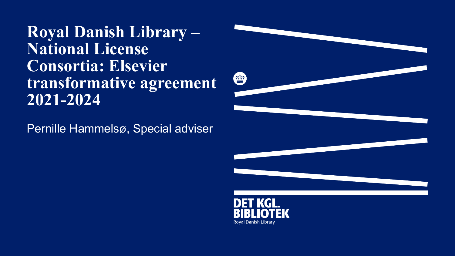**Royal Danish Library – National License Consortia: Elsevier transformative agreement 2021-2024**

Pernille Hammelsø, Special adviser



Royal Danish Library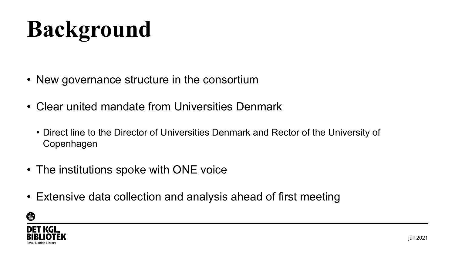# **Background**

- New governance structure in the consortium
- Clear united mandate from Universities Denmark
	- Direct line to the Director of Universities Denmark and Rector of the University of Copenhagen
- The institutions spoke with ONE voice
- Extensive data collection and analysis ahead of first meeting

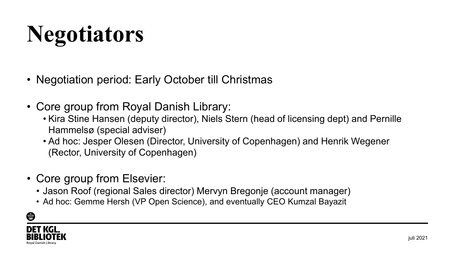# **Negotiators**

- Negotiation period: Early October till Christmas
- Core group from Royal Danish Library:
	- Kira Stine Hansen (deputy director), Niels Stern (head of licensing dept) and Pernille Hammelsø (special adviser)
	- Ad hoc: Jesper Olesen (Director, University of Copenhagen) and Henrik Wegener (Rector, University of Copenhagen)
- Core group from Elsevier:
	- Jason Roof (regional Sales director) Mervyn Bregonje (account manager)
	- Ad hoc: Gemme Hersh (VP Open Science), and eventually CEO Kumzal Bayazit



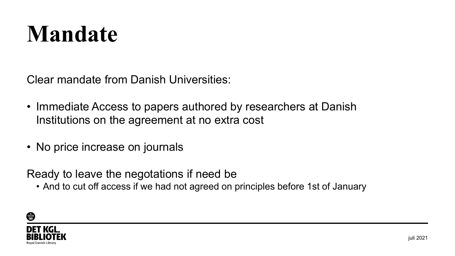#### **Mandate**

Clear mandate from Danish Universities:

- Immediate Access to papers authored by researchers at Danish Institutions on the agreement at no extra cost
- No price increase on journals

Ready to leave the negotations if need be

• And to cut off access if we had not agreed on principles before 1st of January

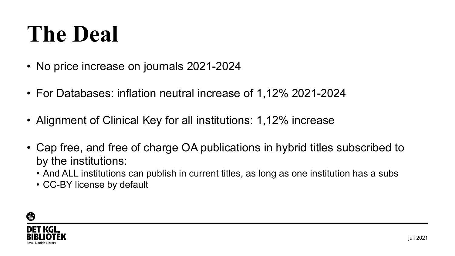## **The Deal**

- No price increase on journals 2021-2024
- For Databases: inflation neutral increase of 1,12% 2021-2024
- Alignment of Clinical Key for all institutions: 1,12% increase
- Cap free, and free of charge OA publications in hybrid titles subscribed to by the institutions:
	- And ALL institutions can publish in current titles, as long as one institution has a subs
	- CC-BY license by default